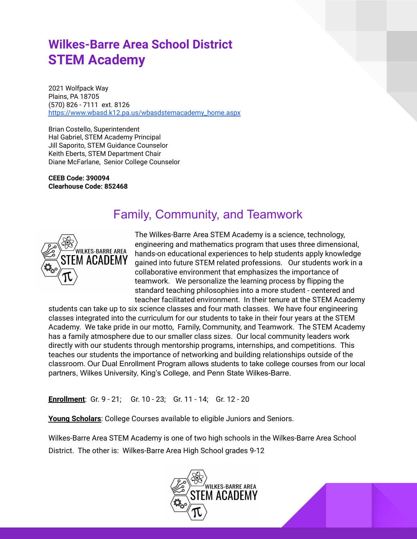# **Wilkes-Barre Area School District STEM Academy**

2021 Wolfpack Way Plains, PA 18705 (570) 826 - 7111 ext. 8126 [https://www.wbasd.k12.pa.us/wbasdstemacademy\\_home.aspx](https://www.wbasd.k12.pa.us/wbasdstemacademy_home.aspx)

Brian Costello, Superintendent Hal Gabriel, STEM Academy Principal Jill Saporito, STEM Guidance Counselor Keith Eberts, STEM Department Chair Diane McFarlane, Senior College Counselor

**CEEB Code: 390094 Clearhouse Code: 852468**

# Family, Community, and Teamwork



The Wilkes-Barre Area STEM Academy is a science, technology, engineering and mathematics program that uses three dimensional, hands-on educational experiences to help students apply knowledge gained into future STEM related professions. Our students work in a collaborative environment that emphasizes the importance of teamwork. We personalize the learning process by flipping the standard teaching philosophies into a more student - centered and teacher facilitated environment. In their tenure at the STEM Academy

students can take up to six science classes and four math classes. We have four engineering classes integrated into the curriculum for our students to take in their four years at the STEM Academy. We take pride in our motto, Family, Community, and Teamwork. The STEM Academy has a family atmosphere due to our smaller class sizes. Our local community leaders work directly with our students through mentorship programs, internships, and competitions. This teaches our students the importance of networking and building relationships outside of the classroom. Our Dual Enrollment Program allows students to take college courses from our local partners, Wilkes University, King's College, and Penn State Wilkes-Barre.

**Enrollment**: Gr. 9 - 21; Gr. 10 - 23; Gr. 11 - 14; Gr. 12 - 20

**Young Scholars**: College Courses available to eligible Juniors and Seniors.

Wilkes-Barre Area STEM Academy is one of two high schools in the Wilkes-Barre Area School District. The other is: Wilkes-Barre Area High School grades 9-12